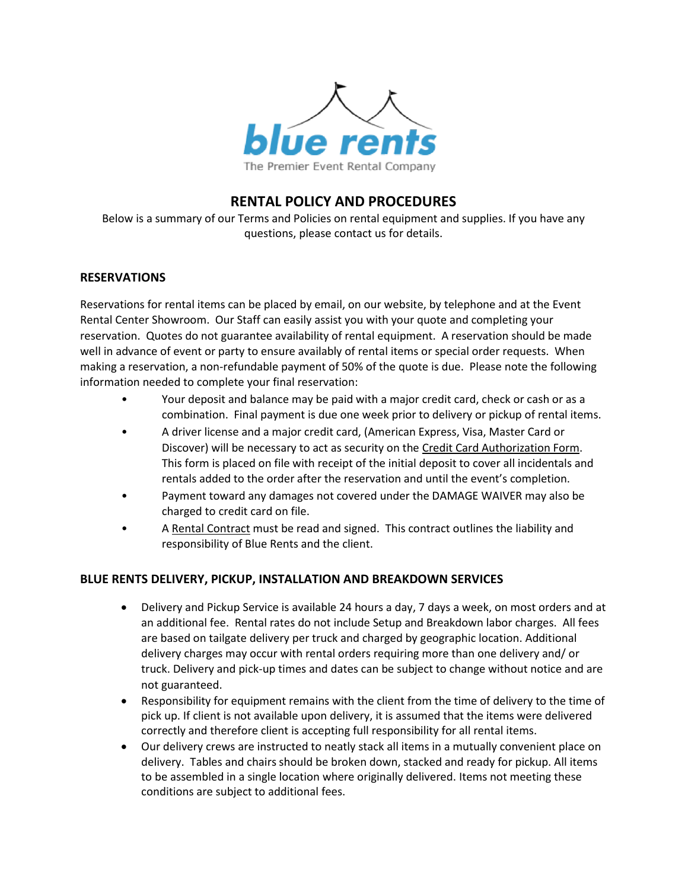

# **RENTAL POLICY AND PROCEDURES**

Below is a summary of our Terms and Policies on rental equipment and supplies. If you have any questions, please contact us for details.

#### **RESERVATIONS**

Reservations for rental items can be placed by email, on our website, by telephone and at the Event Rental Center Showroom. Our Staff can easily assist you with your quote and completing your reservation. Quotes do not guarantee availability of rental equipment. A reservation should be made well in advance of event or party to ensure availably of rental items or special order requests. When making a reservation, a non-refundable payment of 50% of the quote is due. Please note the following information needed to complete your final reservation:

- Your deposit and balance may be paid with a major credit card, check or cash or as a combination. Final payment is due one week prior to delivery or pickup of rental items.
- A driver license and a major credit card, (American Express, Visa, Master Card or Discover) will be necessary to act as security on the Credit Card Authorization Form. This form is placed on file with receipt of the initial deposit to cover all incidentals and rentals added to the order after the reservation and until the event's completion.
- Payment toward any damages not covered under the DAMAGE WAIVER may also be charged to credit card on file.
- A Rental Contract must be read and signed. This contract outlines the liability and responsibility of Blue Rents and the client.

# **BLUE RENTS DELIVERY, PICKUP, INSTALLATION AND BREAKDOWN SERVICES**

- Delivery and Pickup Service is available 24 hours a day, 7 days a week, on most orders and at an additional fee. Rental rates do not include Setup and Breakdown labor charges. All fees are based on tailgate delivery per truck and charged by geographic location. Additional delivery charges may occur with rental orders requiring more than one delivery and/ or truck. Delivery and pick-up times and dates can be subject to change without notice and are not guaranteed.
- Responsibility for equipment remains with the client from the time of delivery to the time of pick up. If client is not available upon delivery, it is assumed that the items were delivered correctly and therefore client is accepting full responsibility for all rental items.
- Our delivery crews are instructed to neatly stack all items in a mutually convenient place on delivery. Tables and chairs should be broken down, stacked and ready for pickup. All items to be assembled in a single location where originally delivered. Items not meeting these conditions are subject to additional fees.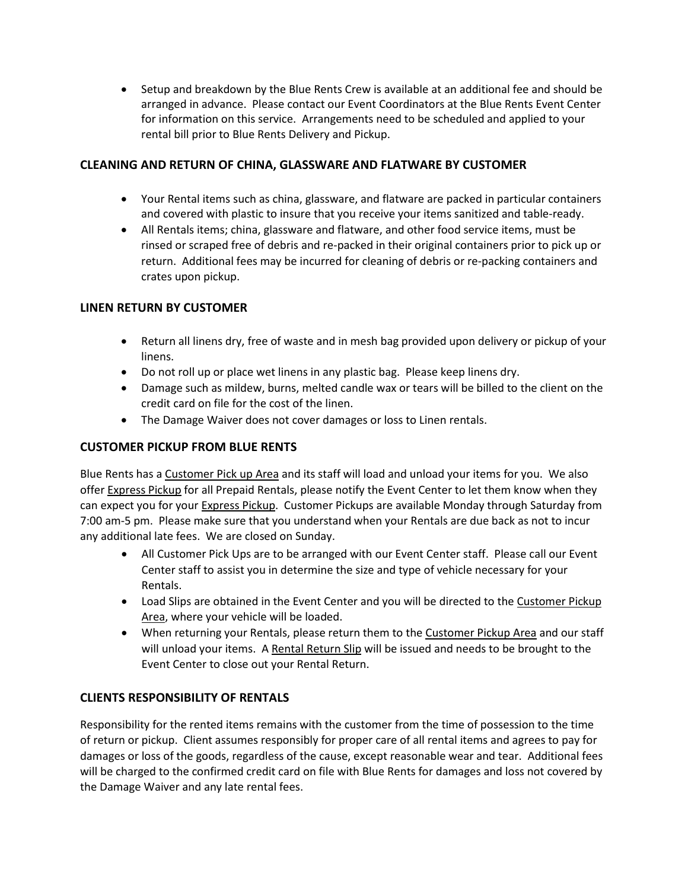Setup and breakdown by the Blue Rents Crew is available at an additional fee and should be arranged in advance. Please contact our Event Coordinators at the Blue Rents Event Center for information on this service. Arrangements need to be scheduled and applied to your rental bill prior to Blue Rents Delivery and Pickup.

# **CLEANING AND RETURN OF CHINA, GLASSWARE AND FLATWARE BY CUSTOMER**

- Your Rental items such as china, glassware, and flatware are packed in particular containers and covered with plastic to insure that you receive your items sanitized and table-ready.
- All Rentals items; china, glassware and flatware, and other food service items, must be rinsed or scraped free of debris and re-packed in their original containers prior to pick up or return. Additional fees may be incurred for cleaning of debris or re-packing containers and crates upon pickup.

# **LINEN RETURN BY CUSTOMER**

- Return all linens dry, free of waste and in mesh bag provided upon delivery or pickup of your linens.
- Do not roll up or place wet linens in any plastic bag. Please keep linens dry.
- Damage such as mildew, burns, melted candle wax or tears will be billed to the client on the credit card on file for the cost of the linen.
- The Damage Waiver does not cover damages or loss to Linen rentals.

# **CUSTOMER PICKUP FROM BLUE RENTS**

Blue Rents has a Customer Pick up Area and its staff will load and unload your items for you. We also offer Express Pickup for all Prepaid Rentals, please notify the Event Center to let them know when they can expect you for your Express Pickup. Customer Pickups are available Monday through Saturday from 7:00 am-5 pm. Please make sure that you understand when your Rentals are due back as not to incur any additional late fees. We are closed on Sunday.

- All Customer Pick Ups are to be arranged with our Event Center staff. Please call our Event Center staff to assist you in determine the size and type of vehicle necessary for your Rentals.
- Load Slips are obtained in the Event Center and you will be directed to the Customer Pickup Area, where your vehicle will be loaded.
- When returning your Rentals, please return them to the Customer Pickup Area and our staff will unload your items. A Rental Return Slip will be issued and needs to be brought to the Event Center to close out your Rental Return.

# **CLIENTS RESPONSIBILITY OF RENTALS**

Responsibility for the rented items remains with the customer from the time of possession to the time of return or pickup. Client assumes responsibly for proper care of all rental items and agrees to pay for damages or loss of the goods, regardless of the cause, except reasonable wear and tear. Additional fees will be charged to the confirmed credit card on file with Blue Rents for damages and loss not covered by the Damage Waiver and any late rental fees.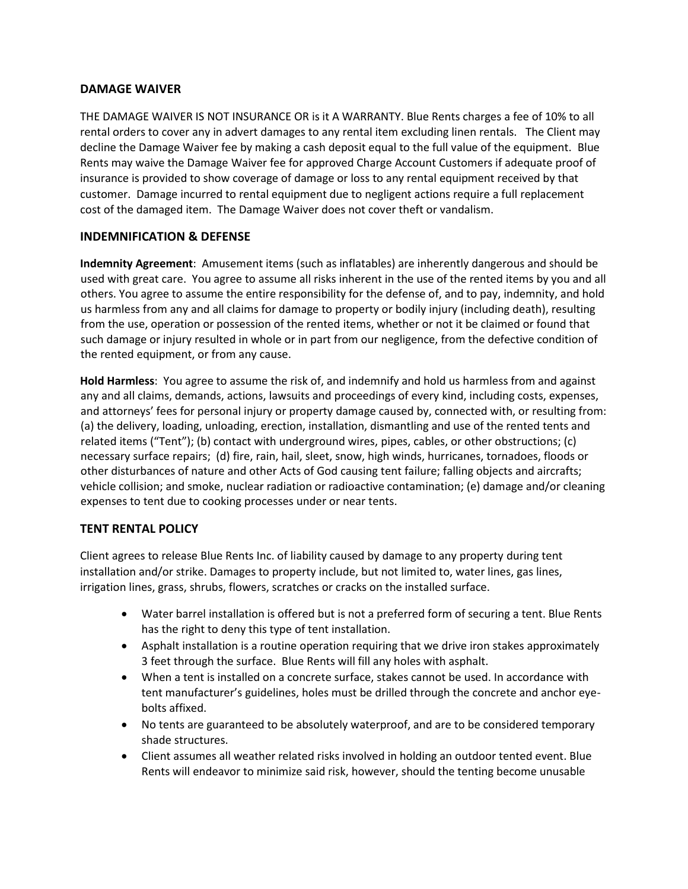#### **DAMAGE WAIVER**

THE DAMAGE WAIVER IS NOT INSURANCE OR is it A WARRANTY. Blue Rents charges a fee of 10% to all rental orders to cover any in advert damages to any rental item excluding linen rentals. The Client may decline the Damage Waiver fee by making a cash deposit equal to the full value of the equipment. Blue Rents may waive the Damage Waiver fee for approved Charge Account Customers if adequate proof of insurance is provided to show coverage of damage or loss to any rental equipment received by that customer. Damage incurred to rental equipment due to negligent actions require a full replacement cost of the damaged item. The Damage Waiver does not cover theft or vandalism.

# **INDEMNIFICATION & DEFENSE**

**Indemnity Agreement**: Amusement items (such as inflatables) are inherently dangerous and should be used with great care. You agree to assume all risks inherent in the use of the rented items by you and all others. You agree to assume the entire responsibility for the defense of, and to pay, indemnity, and hold us harmless from any and all claims for damage to property or bodily injury (including death), resulting from the use, operation or possession of the rented items, whether or not it be claimed or found that such damage or injury resulted in whole or in part from our negligence, from the defective condition of the rented equipment, or from any cause.

**Hold Harmless**: You agree to assume the risk of, and indemnify and hold us harmless from and against any and all claims, demands, actions, lawsuits and proceedings of every kind, including costs, expenses, and attorneys' fees for personal injury or property damage caused by, connected with, or resulting from: (a) the delivery, loading, unloading, erection, installation, dismantling and use of the rented tents and related items ("Tent"); (b) contact with underground wires, pipes, cables, or other obstructions; (c) necessary surface repairs; (d) fire, rain, hail, sleet, snow, high winds, hurricanes, tornadoes, floods or other disturbances of nature and other Acts of God causing tent failure; falling objects and aircrafts; vehicle collision; and smoke, nuclear radiation or radioactive contamination; (e) damage and/or cleaning expenses to tent due to cooking processes under or near tents.

# **TENT RENTAL POLICY**

Client agrees to release Blue Rents Inc. of liability caused by damage to any property during tent installation and/or strike. Damages to property include, but not limited to, water lines, gas lines, irrigation lines, grass, shrubs, flowers, scratches or cracks on the installed surface.

- Water barrel installation is offered but is not a preferred form of securing a tent. Blue Rents has the right to deny this type of tent installation.
- Asphalt installation is a routine operation requiring that we drive iron stakes approximately 3 feet through the surface. Blue Rents will fill any holes with asphalt.
- When a tent is installed on a concrete surface, stakes cannot be used. In accordance with tent manufacturer's guidelines, holes must be drilled through the concrete and anchor eyebolts affixed.
- No tents are guaranteed to be absolutely waterproof, and are to be considered temporary shade structures.
- Client assumes all weather related risks involved in holding an outdoor tented event. Blue Rents will endeavor to minimize said risk, however, should the tenting become unusable